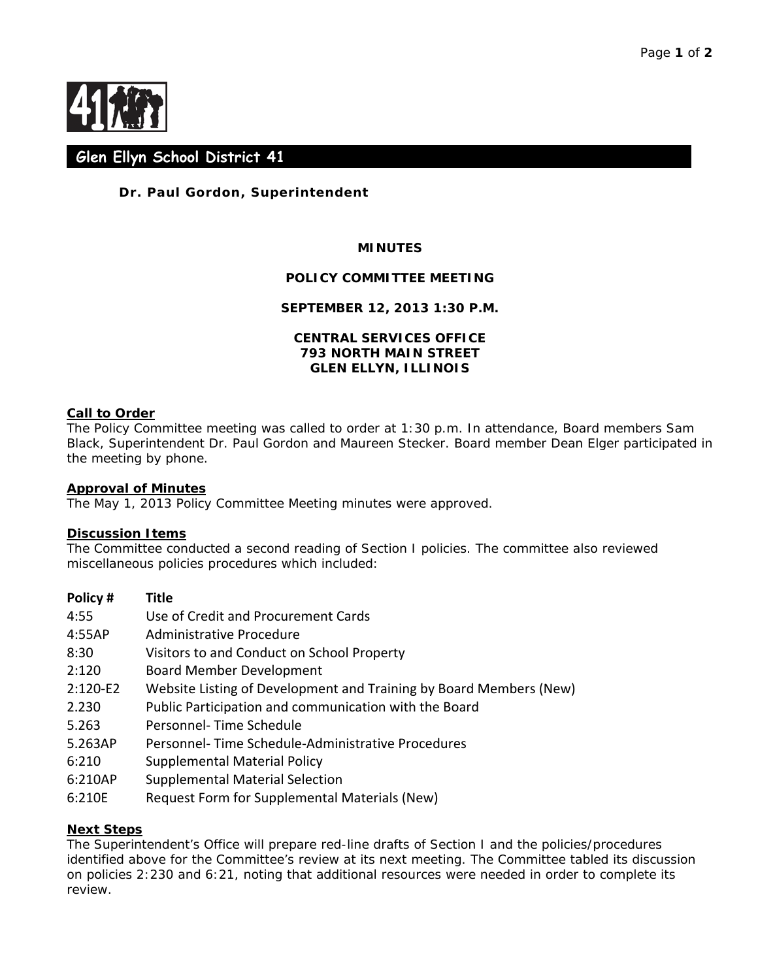

# **Glen Ellyn School District 41**

# **Dr. Paul Gordon, Superintendent**

## **MINUTES**

#### **POLICY COMMITTEE MEETING**

#### **SEPTEMBER 12, 2013 1:30 P.M.**

### **CENTRAL SERVICES OFFICE 793 NORTH MAIN STREET GLEN ELLYN, ILLINOIS**

#### **Call to Order**

The Policy Committee meeting was called to order at 1:30 p.m. In attendance, Board members Sam Black, Superintendent Dr. Paul Gordon and Maureen Stecker. Board member Dean Elger participated in the meeting by phone.

#### **Approval of Minutes**

The May 1, 2013 Policy Committee Meeting minutes were approved.

#### **Discussion Items**

The Committee conducted a second reading of Section I policies. The committee also reviewed miscellaneous policies procedures which included:

| Policy# | <b>Title</b> |
|---------|--------------|
|---------|--------------|

- 4:55 Use of Credit and Procurement Cards
- 4:55AP Administrative Procedure
- 8:30 Visitors to and Conduct on School Property
- 2:120 Board Member Development
- 2:120-E2 Website Listing of Development and Training by Board Members (New)
- 2.230 Public Participation and communication with the Board
- 5.263 Personnel- Time Schedule
- 5.263AP Personnel- Time Schedule-Administrative Procedures
- 6:210 Supplemental Material Policy
- 6:210AP Supplemental Material Selection
- 6:210E Request Form for Supplemental Materials (New)

#### **Next Steps**

The Superintendent's Office will prepare red-line drafts of Section I and the policies/procedures identified above for the Committee's review at its next meeting. The Committee tabled its discussion on policies 2:230 and 6:21, noting that additional resources were needed in order to complete its review.